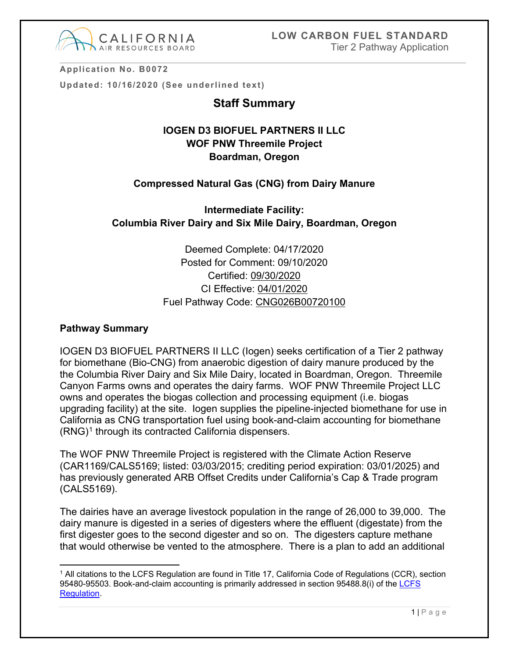

**Application No. B0072**

**Updated: 10/16/2020 (See underlined text)**

## **Staff Summary**

# **IOGEN D3 BIOFUEL PARTNERS II LLC WOF PNW Threemile Project Boardman, Oregon**

#### **Compressed Natural Gas (CNG) from Dairy Manure**

# **Intermediate Facility: Columbia River Dairy and Six Mile Dairy, Boardman, Oregon**

Deemed Complete: 04/17/2020 Posted for Comment: 09/10/2020 Certified: 09/30/2020 CI Effective: 04/01/2020 Fuel Pathway Code: CNG026B00720100

#### **Pathway Summary**

IOGEN D3 BIOFUEL PARTNERS II LLC (Iogen) seeks certification of a Tier 2 pathway for biomethane (Bio-CNG) from anaerobic digestion of dairy manure produced by the the Columbia River Dairy and Six Mile Dairy, located in Boardman, Oregon. Threemile Canyon Farms owns and operates the dairy farms. WOF PNW Threemile Project LLC owns and operates the biogas collection and processing equipment (i.e. biogas upgrading facility) at the site. Iogen supplies the pipeline-injected biomethane for use in California as CNG transportation fuel using book-and-claim accounting for biomethane  $(RNG)^1$  $(RNG)^1$  through its contracted California dispensers.

The WOF PNW Threemile Project is registered with the Climate Action Reserve (CAR1169/CALS5169; listed: 03/03/2015; crediting period expiration: 03/01/2025) and has previously generated ARB Offset Credits under California's Cap & Trade program (CALS5169).

The dairies have an average livestock population in the range of 26,000 to 39,000. The dairy manure is digested in a series of digesters where the effluent (digestate) from the first digester goes to the second digester and so on. The digesters capture methane that would otherwise be vented to the atmosphere. There is a plan to add an additional

<span id="page-0-0"></span> $\overline{a}$ <sup>1</sup> All citations to the LCFS Regulation are found in Title 17, California Code of Regulations (CCR), section 95480-95503. Book-and-claim accounting is primarily addressed in section 95488.8(i) of the LCFS [Regulation.](https://ww3.arb.ca.gov/fuels/lcfs/fro_oal_approved_clean_unofficial_010919.pdf)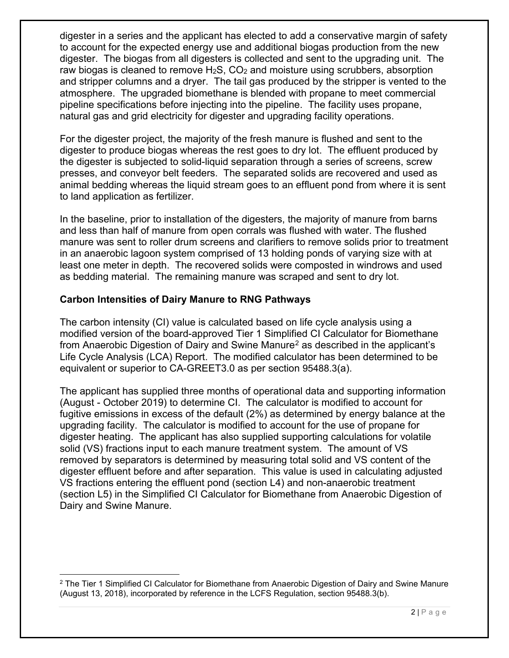digester in a series and the applicant has elected to add a conservative margin of safety to account for the expected energy use and additional biogas production from the new digester. The biogas from all digesters is collected and sent to the upgrading unit. The raw biogas is cleaned to remove  $H_2S$ ,  $CO_2$  and moisture using scrubbers, absorption and stripper columns and a dryer. The tail gas produced by the stripper is vented to the atmosphere. The upgraded biomethane is blended with propane to meet commercial pipeline specifications before injecting into the pipeline. The facility uses propane, natural gas and grid electricity for digester and upgrading facility operations.

For the digester project, the majority of the fresh manure is flushed and sent to the digester to produce biogas whereas the rest goes to dry lot. The effluent produced by the digester is subjected to solid-liquid separation through a series of screens, screw presses, and conveyor belt feeders. The separated solids are recovered and used as animal bedding whereas the liquid stream goes to an effluent pond from where it is sent to land application as fertilizer.

In the baseline, prior to installation of the digesters, the majority of manure from barns and less than half of manure from open corrals was flushed with water. The flushed manure was sent to roller drum screens and clarifiers to remove solids prior to treatment in an anaerobic lagoon system comprised of 13 holding ponds of varying size with at least one meter in depth. The recovered solids were composted in windrows and used as bedding material. The remaining manure was scraped and sent to dry lot.

### **Carbon Intensities of Dairy Manure to RNG Pathways**

The carbon intensity (CI) value is calculated based on life cycle analysis using a modified version of the board-approved Tier 1 Simplified CI Calculator for Biomethane from Anaerobic Digestion of Dairy and Swine Manure<sup>[2](#page-1-0)</sup> as described in the applicant's Life Cycle Analysis (LCA) Report. The modified calculator has been determined to be equivalent or superior to CA-GREET3.0 as per section 95488.3(a).

The applicant has supplied three months of operational data and supporting information (August - October 2019) to determine CI. The calculator is modified to account for fugitive emissions in excess of the default (2%) as determined by energy balance at the upgrading facility. The calculator is modified to account for the use of propane for digester heating. The applicant has also supplied supporting calculations for volatile solid (VS) fractions input to each manure treatment system. The amount of VS removed by separators is determined by measuring total solid and VS content of the digester effluent before and after separation. This value is used in calculating adjusted VS fractions entering the effluent pond (section L4) and non-anaerobic treatment (section L5) in the Simplified CI Calculator for Biomethane from Anaerobic Digestion of Dairy and Swine Manure.

<span id="page-1-0"></span><sup>&</sup>lt;sup>2</sup> The Tier 1 Simplified CI Calculator for Biomethane from Anaerobic Digestion of Dairy and Swine Manure (August 13, 2018), incorporated by reference in the LCFS Regulation, section 95488.3(b).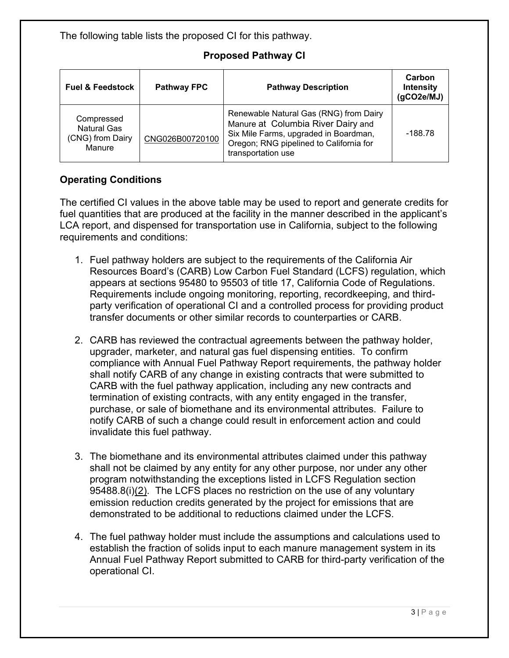The following table lists the proposed CI for this pathway.

## **Proposed Pathway CI**

| <b>Fuel &amp; Feedstock</b>                             | <b>Pathway FPC</b> | <b>Pathway Description</b>                                                                                                                                                             | Carbon<br><b>Intensity</b><br>(gCO2e/MJ) |
|---------------------------------------------------------|--------------------|----------------------------------------------------------------------------------------------------------------------------------------------------------------------------------------|------------------------------------------|
| Compressed<br>Natural Gas<br>(CNG) from Dairy<br>Manure | CNG026B00720100    | Renewable Natural Gas (RNG) from Dairy<br>Manure at Columbia River Dairy and<br>Six Mile Farms, upgraded in Boardman,<br>Oregon; RNG pipelined to California for<br>transportation use | -188.78                                  |

# **Operating Conditions**

The certified CI values in the above table may be used to report and generate credits for fuel quantities that are produced at the facility in the manner described in the applicant's LCA report, and dispensed for transportation use in California, subject to the following requirements and conditions:

- 1. Fuel pathway holders are subject to the requirements of the California Air Resources Board's (CARB) Low Carbon Fuel Standard (LCFS) regulation, which appears at sections 95480 to 95503 of title 17, California Code of Regulations. Requirements include ongoing monitoring, reporting, recordkeeping, and thirdparty verification of operational CI and a controlled process for providing product transfer documents or other similar records to counterparties or CARB.
- 2. CARB has reviewed the contractual agreements between the pathway holder, upgrader, marketer, and natural gas fuel dispensing entities. To confirm compliance with Annual Fuel Pathway Report requirements, the pathway holder shall notify CARB of any change in existing contracts that were submitted to CARB with the fuel pathway application, including any new contracts and termination of existing contracts, with any entity engaged in the transfer, purchase, or sale of biomethane and its environmental attributes. Failure to notify CARB of such a change could result in enforcement action and could invalidate this fuel pathway.
- 3. The biomethane and its environmental attributes claimed under this pathway shall not be claimed by any entity for any other purpose, nor under any other program notwithstanding the exceptions listed in LCFS Regulation section 95488.8(i) $(2)$ . The LCFS places no restriction on the use of any voluntary emission reduction credits generated by the project for emissions that are demonstrated to be additional to reductions claimed under the LCFS.
- 4. The fuel pathway holder must include the assumptions and calculations used to establish the fraction of solids input to each manure management system in its Annual Fuel Pathway Report submitted to CARB for third-party verification of the operational CI.